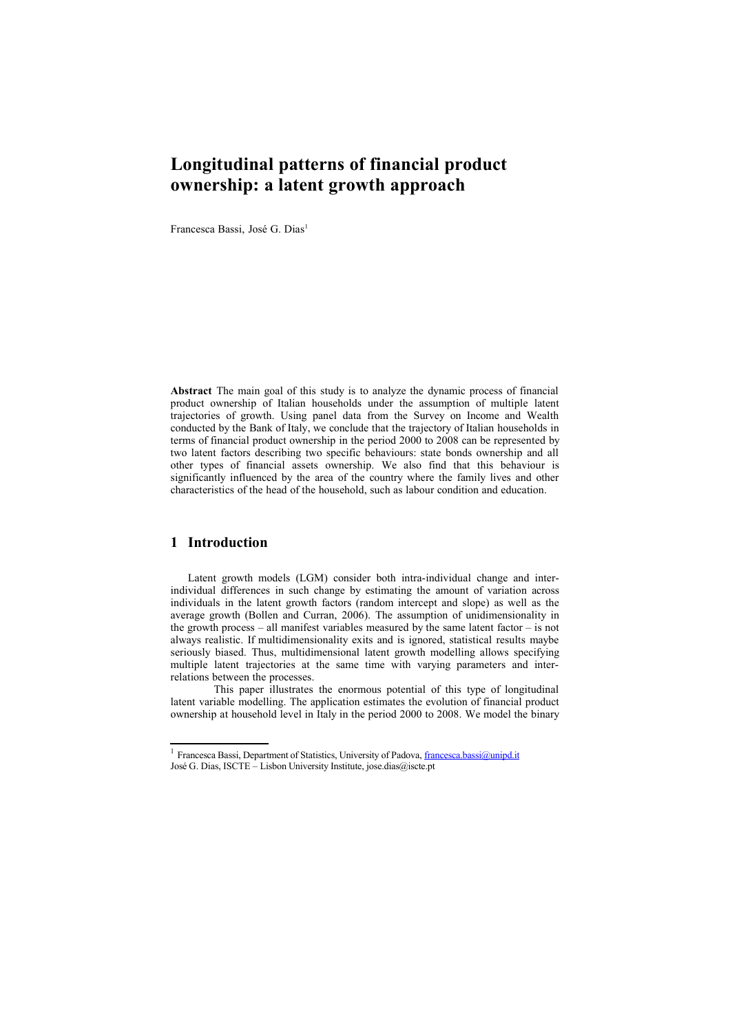# **Longitudinal patterns of financial product ownership: a latent growth approach**

Francesca Bassi, José G. Dias<sup>[1](#page-0-0)</sup>

**Abstract** The main goal of this study is to analyze the dynamic process of financial product ownership of Italian households under the assumption of multiple latent trajectories of growth. Using panel data from the Survey on Income and Wealth conducted by the Bank of Italy, we conclude that the trajectory of Italian households in terms of financial product ownership in the period 2000 to 2008 can be represented by two latent factors describing two specific behaviours: state bonds ownership and all other types of financial assets ownership. We also find that this behaviour is significantly influenced by the area of the country where the family lives and other characteristics of the head of the household, such as labour condition and education.

# **1 Introduction**

Latent growth models (LGM) consider both intra-individual change and interindividual differences in such change by estimating the amount of variation across individuals in the latent growth factors (random intercept and slope) as well as the average growth (Bollen and Curran, 2006). The assumption of unidimensionality in the growth process – all manifest variables measured by the same latent factor – is not always realistic. If multidimensionality exits and is ignored, statistical results maybe seriously biased. Thus, multidimensional latent growth modelling allows specifying multiple latent trajectories at the same time with varying parameters and interrelations between the processes.

This paper illustrates the enormous potential of this type of longitudinal latent variable modelling. The application estimates the evolution of financial product ownership at household level in Italy in the period 2000 to 2008. We model the binary

<span id="page-0-0"></span><sup>&</sup>lt;sup>1</sup> Francesca Bassi, Department of Statistics, University of Padova, *francesca.bassi@unipd.it* José G. Dias, ISCTE – Lisbon University Institute, jose.dias@iscte.pt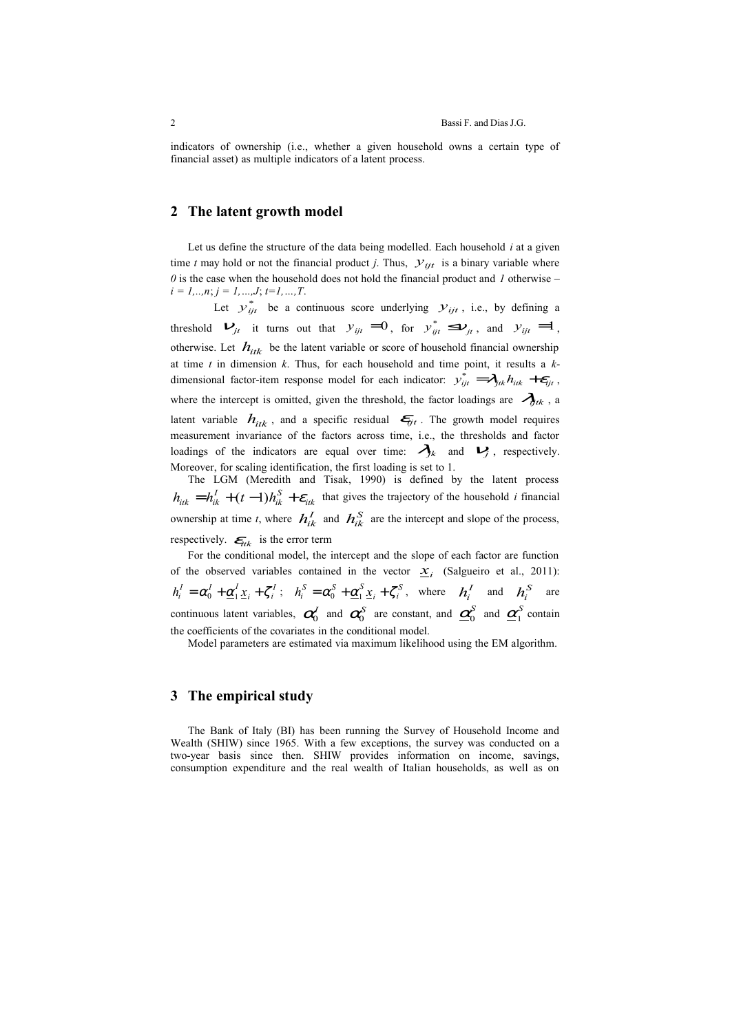indicators of ownership (i.e., whether a given household owns a certain type of financial asset) as multiple indicators of a latent process.

## **2 The latent growth model**

Let us define the structure of the data being modelled. Each household *i* at a given time *t* may hold or not the financial product *j*. Thus,  $y_{ijt}$  is a binary variable where *0* is the case when the household does not hold the financial product and *1* otherwise – *i = 1,..,n*; *j = 1,…,J*; *t=1,…,T*.

Let  $y_{ijt}^*$  be a continuous score underlying  $y_{ijt}$ , i.e., by defining a threshold  $V_{jt}$  it turns out that  $y_{ijt} = 0$ , for  $y_{ijt}^* \leq V_{jt}$ , and  $y_{ijt} = 1$ , otherwise. Let  $h_{itk}$  be the latent variable or score of household financial ownership at time *t* in dimension *k*. Thus, for each household and time point, it results a *k*dimensional factor-item response model for each indicator:  $y_{ijt}^* = \lambda_{jtk} h_{itk} + \epsilon_{ijt}$ , where the intercept is omitted, given the threshold, the factor loadings are  $\mathcal{A}_{\eta t k}$ , a latent variable  $h_{itk}$ , and a specific residual  $\epsilon_{ijt}$ . The growth model requires measurement invariance of the factors across time, i.e., the thresholds and factor loadings of the indicators are equal over time:  $\mathcal{A}_{jk}$  and  $\mathcal{V}_j$ , respectively. Moreover, for scaling identification, the first loading is set to 1.

The LGM (Meredith and Tisak, 1990) is defined by the latent process  $h_{itk} = h_{ik}^I + (t-1)h_{ik}^S + \varepsilon_{itk}$  that gives the trajectory of the household *i* financial ownership at time *t*, where  $h_{ik}^I$  and  $h_{ik}^S$  are the intercept and slope of the process, respectively.  $\epsilon_{itk}$  is the error term

For the conditional model, the intercept and the slope of each factor are function of the observed variables contained in the vector  $\underline{x}_i$  (Salgueiro et al., 2011):  $h_i^I = \alpha_0^I + \underline{\alpha}_1^I \underline{x}_i + \zeta_i^I$ ;  $h_i^S = \alpha_0^S + \underline{\alpha}_1^S \underline{x}_i + \zeta_i^S$ , where  $h_i^I$  and  $h_i^S$  are continuous latent variables,  $\alpha_0^J$  and  $\alpha_0^S$  are constant, and  $\underline{\alpha}_0^S$  and  $\underline{\alpha}_1^S$  contain the coefficients of the covariates in the conditional model.

Model parameters are estimated via maximum likelihood using the EM algorithm.

#### **3 The empirical study**

The Bank of Italy (BI) has been running the Survey of Household Income and Wealth (SHIW) since 1965. With a few exceptions, the survey was conducted on a two-year basis since then. SHIW provides information on income, savings, consumption expenditure and the real wealth of Italian households, as well as on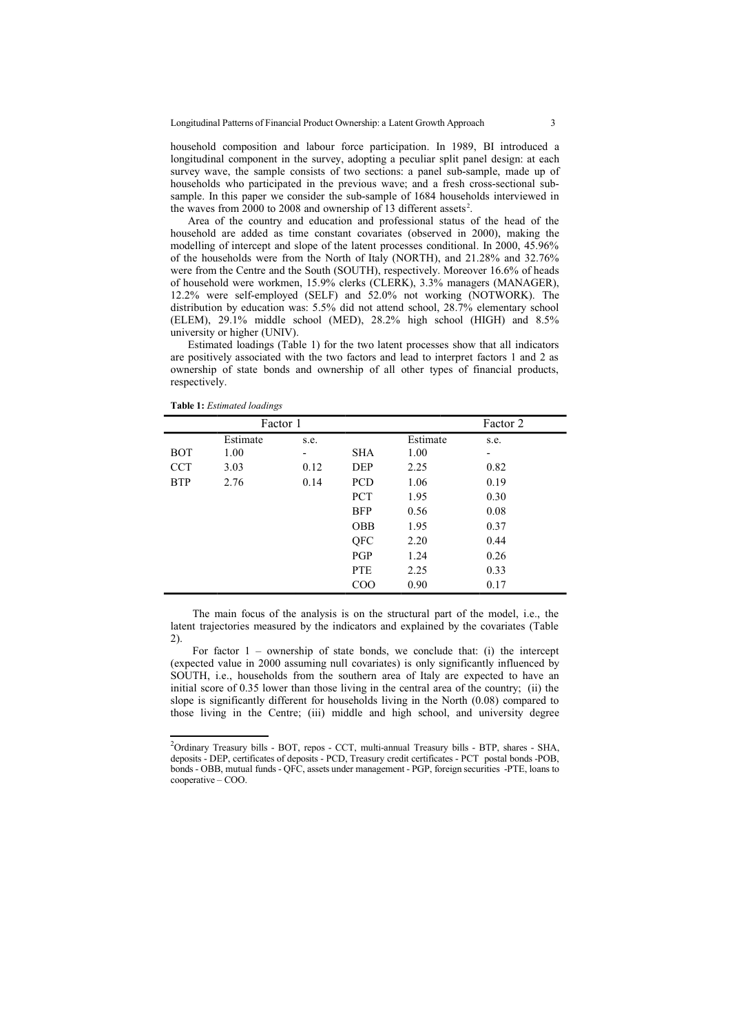household composition and labour force participation. In 1989, BI introduced a longitudinal component in the survey, adopting a peculiar split panel design: at each survey wave, the sample consists of two sections: a panel sub-sample, made up of households who participated in the previous wave; and a fresh cross-sectional subsample. In this paper we consider the sub-sample of 1684 households interviewed in the waves from [2](#page-2-0)000 to 2008 and ownership of 13 different assets<sup>2</sup>.

Area of the country and education and professional status of the head of the household are added as time constant covariates (observed in 2000), making the modelling of intercept and slope of the latent processes conditional. In 2000, 45.96% of the households were from the North of Italy (NORTH), and 21.28% and 32.76% were from the Centre and the South (SOUTH), respectively. Moreover 16.6% of heads of household were workmen, 15.9% clerks (CLERK), 3.3% managers (MANAGER), 12.2% were self-employed (SELF) and 52.0% not working (NOTWORK). The distribution by education was: 5.5% did not attend school, 28.7% elementary school (ELEM), 29.1% middle school (MED), 28.2% high school (HIGH) and 8.5% university or higher (UNIV).

Estimated loadings (Table 1) for the two latent processes show that all indicators are positively associated with the two factors and lead to interpret factors 1 and 2 as ownership of state bonds and ownership of all other types of financial products, respectively.

| Factor 1   |          |      |            |          | Factor 2 |  |
|------------|----------|------|------------|----------|----------|--|
|            | Estimate | s.e. |            | Estimate | s.e.     |  |
| <b>BOT</b> | 1.00     | -    | <b>SHA</b> | 1.00     | ۰        |  |
| <b>CCT</b> | 3.03     | 0.12 | <b>DEP</b> | 2.25     | 0.82     |  |
| <b>BTP</b> | 2.76     | 0.14 | <b>PCD</b> | 1.06     | 0.19     |  |
|            |          |      | <b>PCT</b> | 1.95     | 0.30     |  |
|            |          |      | <b>BFP</b> | 0.56     | 0.08     |  |
|            |          |      | <b>OBB</b> | 1.95     | 0.37     |  |
|            |          |      | QFC        | 2.20     | 0.44     |  |
|            |          |      | PGP        | 1.24     | 0.26     |  |
|            |          |      | <b>PTE</b> | 2.25     | 0.33     |  |
|            |          |      | COO        | 0.90     | 0.17     |  |

**Table 1:** *Estimated loadings*

The main focus of the analysis is on the structural part of the model, i.e., the latent trajectories measured by the indicators and explained by the covariates (Table 2).

For factor  $1$  – ownership of state bonds, we conclude that: (i) the intercept (expected value in 2000 assuming null covariates) is only significantly influenced by SOUTH, i.e., households from the southern area of Italy are expected to have an initial score of 0.35 lower than those living in the central area of the country; (ii) the slope is significantly different for households living in the North (0.08) compared to those living in the Centre; (iii) middle and high school, and university degree

<span id="page-2-0"></span><sup>&</sup>lt;sup>2</sup>Ordinary Treasury bills - BOT, repos - CCT, multi-annual Treasury bills - BTP, shares - SHA, deposits - DEP, certificates of deposits - PCD, Treasury credit certificates - PCT postal bonds -POB, bonds - OBB, mutual funds - QFC, assets under management - PGP, foreign securities -PTE, loans to cooperative – COO.